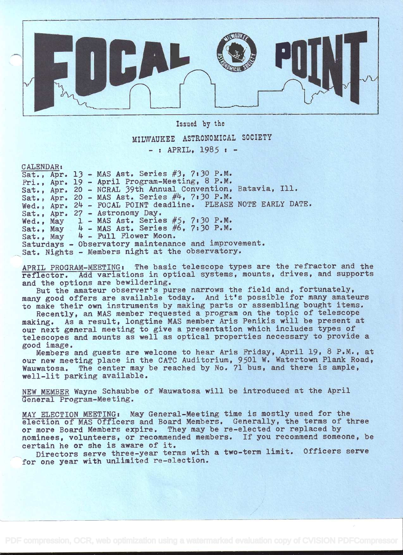

Issued by the MILWAUKEE ASTRONOMICAL SOCIETY

 $-$  : APRIL,  $1985$  :  $-$ 

CALENDAR s

|  | Sat., Apr. 13 - MAS Ast. Series $#3$ , 7:30 P.M.              |
|--|---------------------------------------------------------------|
|  | Fri., Apr. 19 - April Program-Meeting, 8 P.M.                 |
|  | Sat., Apr. 20 - NCRAL 39th Annual Convention, Batavia, Ill.   |
|  | Sat., Apr. 20 - MAS Ast. Series #4, 7:30 P.M.                 |
|  | Wed., Apr. 24 - FOCAL POINT deadline. PLEASE NOTE EARLY DATE. |
|  | Sat., Apr. 27 - Astronomy Day.                                |
|  | Wed., May $1$ - MAS Ast. Series #5, 7:30 P.M.                 |
|  | Sat., May $4$ - MAS Ast. Series #6, 7:30 P.M.                 |
|  | Sat., May 4 - Full Flower Moon.                               |
|  | Saturdays - Observatory maintenance and improvement.          |
|  | Sat. Nights - Members night at the observatory.               |

APRIL PROGRAM-MEETING: The basic telescope types are the refractor and the reflector. Add variations in optical systems, mounts, drives, and supports and the options are bewildering.

But the amateur observer's purse narrows the field and, fortunately, many good offers are available today. And it's possible for many amateurs to make their own instruments by making parts or assembling bought items.

Recently, an MAS member requested a program on the topic of telescope making. As a result, longtime MAS member Aris Penikis will be present at our next general meeting to give a presentation which includes types of telescopes and mounts as well as optical properties necessary to provide a good image.

Members and guests are welcome to hear Aris Friday, April 19, 8 P.M., at our new meeting place in the CATC Auditorium, 9501 W. Watertown Plank Road, Wauwatosa. The center may be reached by No. 71 bus, and there is ample, well-lit parking available.

NEW MEMBER Wayne Schaubbe of Wauwatosa will be introduced at the April General Program-Meeting.

MAY ELECTION MEETING: May General-Meeting time is mostly used for the election of MAS Officers and Board Members. Generally, the terms of three or more Board Members expire. They may be re-elected or replaced by nominees, volunteers, or recommended members. If you recommend someone, be certain he or she is aware of it.

Directors serve three-year terms with a two-term limit. Officers serve for one year with unlimited re-election.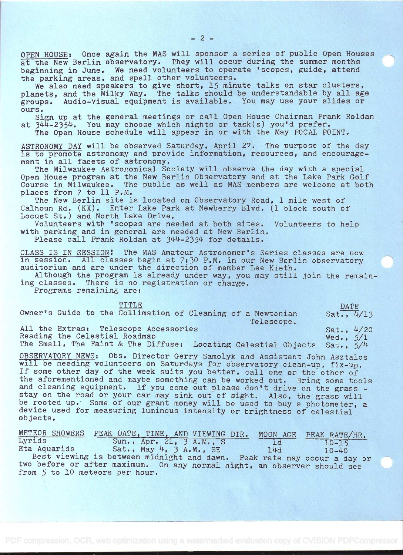OPEN HOUSE: Once again the MAS will sponsor a series of public Open Houses at the New Berlin observatory. They will occur during the summer months beginning in June. We need volunteers to operate 'scopes, guide, attend the parking areas, and spell other volunteers.

We also need speakers to give short, 15 minute talks on star clusters, planets, and the Milky Way. The talks should be understandable by all age groups. Audio-Visual equipment is available. You may use your slides or ours.

Sign up at the general meetings or call Open House Chairman Frank Roldan at  $344-2354$ . You may choose which nights or task(s) you'd prefer.

The Open House schedule will appear in or with the May FOCAL POINT.

ASTRONOMY DAY will be observed Saturday, April 27, The purpose of the day is to promote astronomy and provide information, resources, and encouragement in all facets of astronomy.

The Milwaukee Astronomical Society will observe the day with a special Open House program at the New Berlin Observatory and at the Lake Park Golf Course in Milwaukee. The public as well as MAS members are welcome at both places from 7 to 11 P.M.

The New Berlin site is located on Observatory Road, 1 mile west of Calhoun Rd. (KX). Enter Lake Park at Newberry Blvd. (1 block south of Locust st.) and North Lake Drive.

Volunteers with 'scopes are needed at both sites. Volunteers to help with parking and in general are needed at New Berlin. Please call Frank Roldan at 344-2354 for details.

CLASS IS IN SESSION! The MAS Amateur Astronomer's Series classes are now in session. All classes begin at 7:30 P.M. in our New Berlin observatory auditorium and are under the direction of member Lee Kieth.

Although the program is already under way, you may still join the remaining classes. There is no registration or charge.

Programs remaining are:

| TTTLE                                                                     | DATE.                       |
|---------------------------------------------------------------------------|-----------------------------|
| Owner's Guide to the Collimation of Cleaning of a Newtonian               | Sat., $4/13$                |
| Telescope.                                                                |                             |
| All the Extras: Telescope Accessories                                     | Sat., $4/20$<br>Wed., $5/1$ |
| Reading the Celestial Roadmap                                             |                             |
| The Small, The Faint & The Diffuse: Locating Celestial Objects Sat., 5/4  |                             |
| OBSERVATORY NEWS: Obs. Director Gerry Samolyk and Assistant John Asztalos |                             |

will be needing volunteers on Saturdays for observatory clean-up, fix-up, If some other day of the week suits you better, call one or the other of the aforementioned and maybe something can be worked out. Bring some tools and cleaning equipment. If you come out please don't drive on the grass and cleaning equipment. If you come out please don't drive on the grass - stay on the road or your car may sink out of sight. Also, the grass will be rooted up. Some of our grant money will be used to buy a photometer, a device used for measuring luminous intensity or brightness of celestial device used for measuring luminous intensity or brightness of celestial objects.

|                                | METEOR SHOWERS PEAK DATE, TIME, AND VIEWING DIR.                         |     | MOON AGE PEAK RATE/HR. |  |
|--------------------------------|--------------------------------------------------------------------------|-----|------------------------|--|
| Lyrids                         | Sun., $Apr. 21. 3 A.M. S$                                                | 1d  | $10 - 15$              |  |
| Eta Aquarids                   | Sat., May 4, 3 A.M., SE                                                  | 14d | $10 - 40$              |  |
|                                | Best viewing is between midnight and dawn. Peak rate may occur a day or  |     |                        |  |
|                                | two before or after maximum. On any normal night, an observer should see |     |                        |  |
| from 5 to 10 meteors per hour. |                                                                          |     |                        |  |